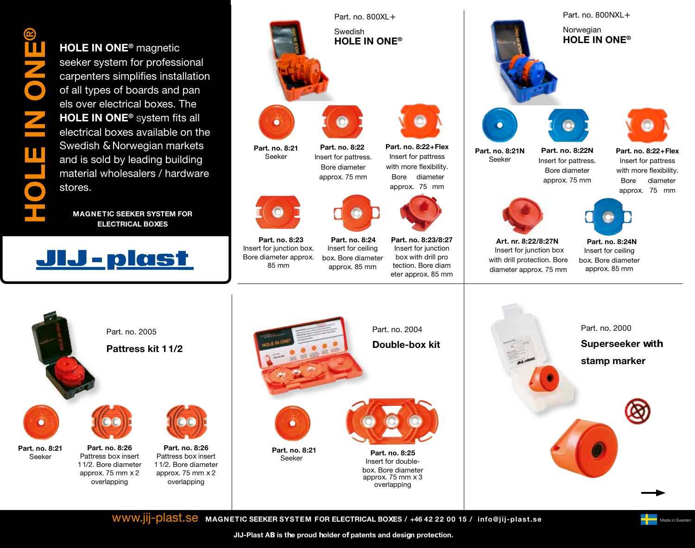®HOLE IN ONE Ó

HOLE IN ONE® magnetic seeker system for professional carpenters simplifies installation of all types of boards and pan els over electrical boxes. The HOLE IN ONE® system fits all electrical boxes available on the Swedish & Norwegian markets and is sold by leading building material wholesalers / hardware stores.

MAGNETIC SEEKER SYSTEM FOR ELECTRICAL BOXES





Part. no. 8:23 Insert for junction box. Bore diameter approx. 85 mm

Swedish HOLE IN ONE®



approx. 75 mm

approx. 85 mm



Part. no. 8:22+Flex Insert for pattress with more flexibility. Bore diameter

approx. 75 mm

Part. no. 8:24 Insert for ceiling box. Bore diameter

Part. no. 8:23/8:27 Insert for junction box with drill pro tection. Bore diam eter approx. 85 mm



Part. no. 8:22+Flex Insert for pattress with more flexibility. Bore diameter approx. 75 mm



Bore diameter approx. 75 mm



Insert for ceiling box. Bore diameter approx. 85 mm

Part. no. 2000

Superseeker with

stamp marker

Part. no. 8:24N

Part. no. 2005 Pattress kit 1 1/2



Part. no. 8:21 Seeker

Part. no. 8:26 Pattress box insert 1 1/2. Bore diameter approx. 75 mm x 2 overlapping





Insert for doublebox. Bore diameter approx. 75 mm x 3 overlapping